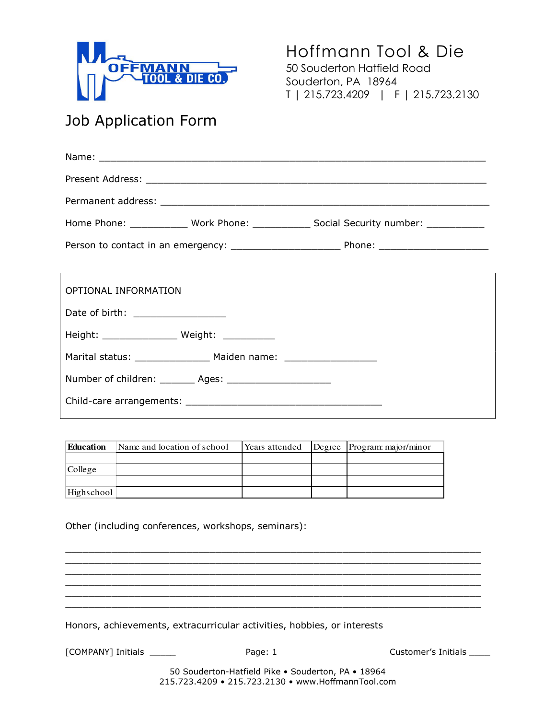

Hoffmann Tool & Die 50 Souderton Hatfield Road Souderton, PA 18964 T | 215.723.4209 | F | 215.723.2130

## Job Application Form

| Home Phone: _____________ Work Phone: _____________ Social Security number: ___________ |
|-----------------------------------------------------------------------------------------|
|                                                                                         |
|                                                                                         |
| OPTIONAL INFORMATION                                                                    |
| Date of birth: ___________________                                                      |
|                                                                                         |
| Marital status: ___________________ Maiden name: _______________________________        |
| Number of children: ________ Ages: _______________________                              |
|                                                                                         |

| <b>Education</b> | Name and location of school | Years attended | Degree Program: major/minor |
|------------------|-----------------------------|----------------|-----------------------------|
|                  |                             |                |                             |
| College          |                             |                |                             |
|                  |                             |                |                             |
| Highschool       |                             |                |                             |

Other (including conferences, workshops, seminars):

Honors, achievements, extracurricular activities, hobbies, or interests

[COMPANY] Initials \_\_\_\_\_\_\_ Page: 1 COMPANY] Initials \_\_\_\_\_

50 Souderton-Hatfield Pike • Souderton, PA • 18964 215.723.4209 • 215.723.2130 • www.HoffmannTool.com

 $\overline{\phantom{a}}$  , and the set of the set of the set of the set of the set of the set of the set of the set of the set of the set of the set of the set of the set of the set of the set of the set of the set of the set of the s  $\overline{\phantom{a}}$  , and the set of the set of the set of the set of the set of the set of the set of the set of the set of the set of the set of the set of the set of the set of the set of the set of the set of the set of the s  $\overline{\phantom{a}}$  , and the set of the set of the set of the set of the set of the set of the set of the set of the set of the set of the set of the set of the set of the set of the set of the set of the set of the set of the s  $\overline{\phantom{a}}$  , and the set of the set of the set of the set of the set of the set of the set of the set of the set of the set of the set of the set of the set of the set of the set of the set of the set of the set of the s  $\overline{\phantom{a}}$  , and the set of the set of the set of the set of the set of the set of the set of the set of the set of the set of the set of the set of the set of the set of the set of the set of the set of the set of the s  $\overline{\phantom{a}}$  , and the set of the set of the set of the set of the set of the set of the set of the set of the set of the set of the set of the set of the set of the set of the set of the set of the set of the set of the s